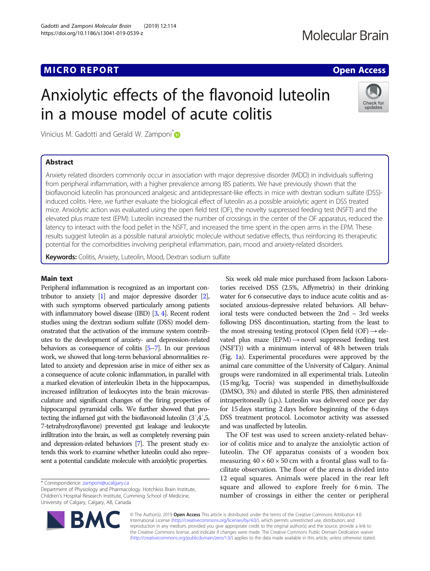https://doi.org/10.1186/s13041-019-0539-z

## Molecular Brain

# Anxiolytic effects of the flavonoid luteolin in a mouse model of acute colitis



Vinicius M. Gadotti and Gerald W. Zamponi<sup>[\\*](http://orcid.org/0000-0002-0644-9066)</sup>

Gadotti and Zamponi Molecular Brain (2019) 12:114

## Abstract

Anxiety related disorders commonly occur in association with major depressive disorder (MDD) in individuals suffering from peripheral inflammation, with a higher prevalence among IBS patients. We have previously shown that the bioflavonoid luteolin has pronounced analgesic and antidepressant-like effects in mice with dextran sodium sulfate (DSS) induced colitis. Here, we further evaluate the biological effect of luteolin as a possible anxiolytic agent in DSS treated mice. Anxiolytic action was evaluated using the open field test (OF), the novelty suppressed feeding test (NSFT) and the elevated plus maze test (EPM). Luteolin increased the number of crossings in the center of the OF apparatus, reduced the latency to interact with the food pellet in the NSFT, and increased the time spent in the open arms in the EPM. These results suggest luteolin as a possible natural anxiolytic molecule without sedative effects, thus reinforcing its therapeutic potential for the comorbidities involving peripheral inflammation, pain, mood and anxiety-related disorders.

Keywords: Colitis, Anxiety, Luteolin, Mood, Dextran sodium sulfate

### Main text

Peripheral inflammation is recognized as an important contributor to anxiety [\[1](#page-2-0)] and major depressive disorder [\[2\]](#page-2-0), with such symptoms observed particularly among patients with inflammatory bowel disease (IBD) [[3](#page-2-0), [4\]](#page-2-0). Recent rodent studies using the dextran sodium sulfate (DSS) model demonstrated that the activation of the immune system contributes to the development of anxiety- and depression-related behaviors as consequence of colitis [\[5](#page-2-0)–[7\]](#page-2-0). In our previous work, we showed that long-term behavioral abnormalities related to anxiety and depression arise in mice of either sex as a consequence of acute colonic inflammation, in parallel with a marked elevation of interleukin 1beta in the hippocampus, increased infiltration of leukocytes into the brain microvasculature and significant changes of the firing properties of hippocampal pyramidal cells. We further showed that protecting the inflamed gut with the bioflavonoid luteolin (3′,4′,5, 7-tetrahydroxyflavone) prevented gut leakage and leukocyte infiltration into the brain, as well as completely reversing pain and depression-related behaviors [\[7](#page-2-0)]. The present study extends this work to examine whether luteolin could also represent a potential candidate molecule with anxiolytic properties.

BA



The OF test was used to screen anxiety-related behavior of colitis mice and to analyze the anxiolytic action of luteolin. The OF apparatus consists of a wooden box measuring  $40 \times 60 \times 50$  cm with a frontal glass wall to facilitate observation. The floor of the arena is divided into 12 equal squares. Animals were placed in the rear left square and allowed to explore freely for 6 min. The number of crossings in either the center or peripheral



<sup>\*</sup> Correspondence: [zamponi@ucalgary.ca](mailto:zamponi@ucalgary.ca)

Department of Physiology and Pharmacology. Hotchkiss Brain Institute, Children's Hospital Research Institute, Cumming School of Medicine, University of Calgary, Calgary, AB, Canada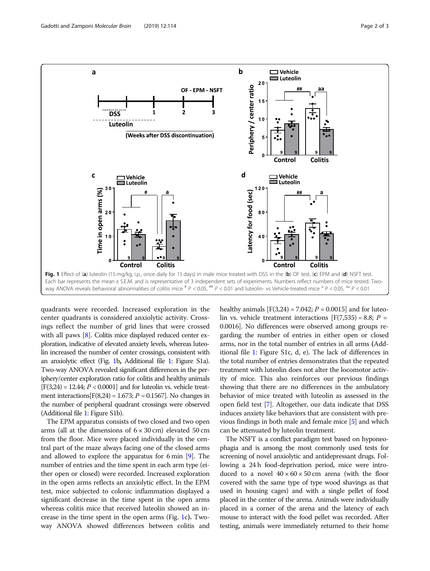<span id="page-1-0"></span>

quadrants were recorded. Increased exploration in the center quadrants is considered anxiolytic activity. Crossings reflect the number of grid lines that were crossed with all paws [\[8](#page-2-0)]. Colitis mice displayed reduced center exploration, indicative of elevated anxiety levels, whereas luteolin increased the number of center crossings, consistent with an anxiolytic effect (Fig. 1b, Additional file [1](#page-2-0): Figure S1a). Two-way ANOVA revealed significant differences in the periphery/center exploration ratio for colitis and healthy animals  $[F(3,24) = 12.44; P < 0.0001]$  and for luteolin vs. vehicle treatment interactions $[F(8,24) = 1.673; P = 0.1567]$ . No changes in the number of peripheral quadrant crossings were observed (Additional file [1:](#page-2-0) Figure S1b).

The EPM apparatus consists of two closed and two open arms (all at the dimensions of  $6 \times 30$  cm) elevated 50 cm from the floor. Mice were placed individually in the central part of the maze always facing one of the closed arms and allowed to explore the apparatus for 6 min [\[9](#page-2-0)]. The number of entries and the time spent in each arm type (either open or closed) were recorded. Increased exploration in the open arms reflects an anxiolytic effect. In the EPM test, mice subjected to colonic inflammation displayed a significant decrease in the time spent in the open arms whereas colitis mice that received luteolin showed an increase in the time spent in the open arms (Fig. 1c). Twoway ANOVA showed differences between colitis and healthy animals  $[F(3,24) = 7.042; P = 0.0015]$  and for luteolin vs. vehicle treatment interactions  $[F(7,535) = 8.8; P =$ 0.0016]. No differences were observed among groups regarding the number of entries in either open or closed arms, nor in the total number of entries in all arms (Additional file [1](#page-2-0): Figure S1c, d, e). The lack of differences in the total number of entries demonstrates that the repeated treatment with luteolin does not alter the locomotor activity of mice. This also reinforces our previous findings showing that there are no differences in the ambulatory behavior of mice treated with luteolin as assessed in the open field test [\[7\]](#page-2-0). Altogether, our data indicate that DSS induces anxiety like behaviors that are consistent with previous findings in both male and female mice [[5](#page-2-0)] and which can be attenuated by luteolin treatment.

The NSFT is a conflict paradigm test based on hyponeophagia and is among the most commonly used tests for screening of novel anxiolytic and antidepressant drugs. Following a 24 h food-deprivation period, mice were introduced to a novel  $40 \times 60 \times 50$  cm arena (with the floor covered with the same type of type wood shavings as that used in housing cages) and with a single pellet of food placed in the center of the arena. Animals were individually placed in a corner of the arena and the latency of each mouse to interact with the food pellet was recorded. After testing, animals were immediately returned to their home